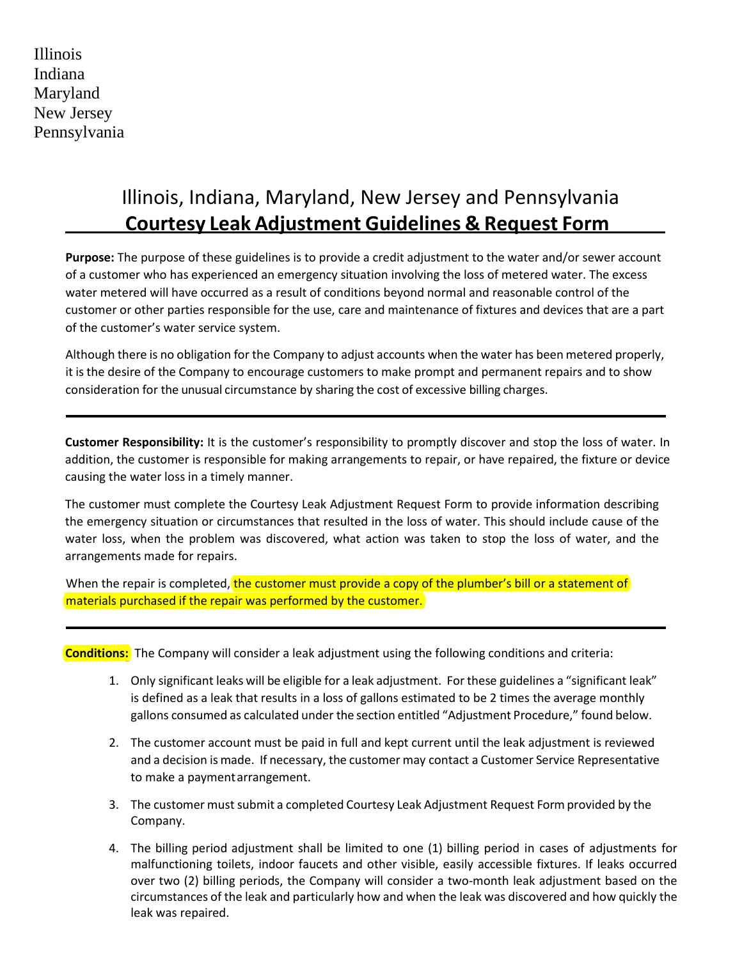Illinois Indiana Maryland New Jersey Pennsylvania

# Illinois, Indiana, Maryland, New Jersey and Pennsylvania **Courtesy Leak Adjustment Guidelines & Request Form**

**Purpose:** The purpose of these guidelines is to provide a credit adjustment to the water and/or sewer account of a customer who has experienced an emergency situation involving the loss of metered water. The excess water metered will have occurred as a result of conditions beyond normal and reasonable control of the customer or other parties responsible for the use, care and maintenance of fixtures and devices that are a part of the customer's water service system.

Although there is no obligation for the Company to adjust accounts when the water has been metered properly, it isthe desire of the Company to encourage customers to make prompt and permanent repairs and to show consideration for the unusual circumstance by sharing the cost of excessive billing charges.

**Customer Responsibility:** It is the customer's responsibility to promptly discover and stop the loss of water. In addition, the customer is responsible for making arrangements to repair, or have repaired, the fixture or device causing the water loss in a timely manner.

The customer must complete the Courtesy Leak Adjustment Request Form to provide information describing the emergency situation or circumstances that resulted in the loss of water. This should include cause of the water loss, when the problem was discovered, what action was taken to stop the loss of water, and the arrangements made for repairs.

When the repair is completed, the customer must provide a copy of the plumber's bill or a statement of materials purchased if the repair was performed by the customer.

**Conditions:** The Company will consider a leak adjustment using the following conditions and criteria:

- 1. Only significant leaks will be eligible for a leak adjustment. Forthese guidelines a "significant leak" is defined as a leak that results in a loss of gallons estimated to be 2 times the average monthly gallons consumed as calculated under the section entitled "Adjustment Procedure," found below.
- 2. The customer account must be paid in full and kept current until the leak adjustment is reviewed and a decision is made. If necessary, the customer may contact a Customer Service Representative to make a paymentarrangement.
- 3. The customer must submit a completed Courtesy Leak Adjustment Request Form provided by the Company.
- 4. The billing period adjustment shall be limited to one (1) billing period in cases of adjustments for malfunctioning toilets, indoor faucets and other visible, easily accessible fixtures. If leaks occurred over two (2) billing periods, the Company will consider a two-month leak adjustment based on the circumstances of the leak and particularly how and when the leak was discovered and how quickly the leak was repaired.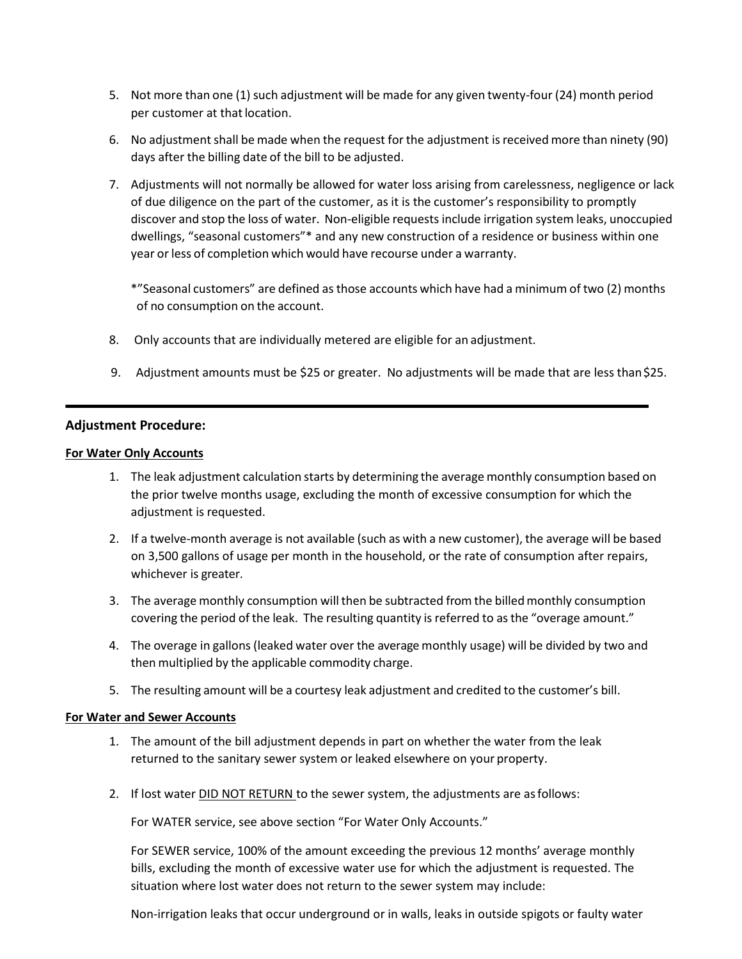- 5. Not more than one (1) such adjustment will be made for any given twenty-four (24) month period per customer at that location.
- 6. No adjustment shall be made when the request for the adjustment is received more than ninety (90) days after the billing date of the bill to be adjusted.
- 7. Adjustments will not normally be allowed for water loss arising from carelessness, negligence or lack of due diligence on the part of the customer, as it is the customer's responsibility to promptly discover and stop the loss of water. Non-eligible requests include irrigation system leaks, unoccupied dwellings, "seasonal customers"\* and any new construction of a residence or business within one year or less of completion which would have recourse under a warranty.

\*"Seasonal customers" are defined asthose accounts which have had a minimum of two (2) months of no consumption on the account.

- 8. Only accounts that are individually metered are eligible for an adjustment.
- 9. Adjustment amounts must be \$25 or greater. No adjustments will be made that are less than \$25.

### **Adjustment Procedure:**

#### **For Water Only Accounts**

- 1. The leak adjustment calculation starts by determining the average monthly consumption based on the prior twelve months usage, excluding the month of excessive consumption for which the adjustment is requested.
- 2. If a twelve-month average is not available (such as with a new customer), the average will be based on 3,500 gallons of usage per month in the household, or the rate of consumption after repairs, whichever is greater.
- 3. The average monthly consumption will then be subtracted from the billed monthly consumption covering the period of the leak. The resulting quantity is referred to as the "overage amount."
- 4. The overage in gallons (leaked water over the average monthly usage) will be divided by two and then multiplied by the applicable commodity charge.
- 5. The resulting amount will be a courtesy leak adjustment and credited to the customer's bill.

### **For Water and Sewer Accounts**

- 1. The amount of the bill adjustment depends in part on whether the water from the leak returned to the sanitary sewer system or leaked elsewhere on your property.
- 2. If lost water DID NOT RETURN to the sewer system, the adjustments are as follows:

For WATER service, see above section "For Water Only Accounts."

For SEWER service, 100% of the amount exceeding the previous 12 months' average monthly bills, excluding the month of excessive water use for which the adjustment is requested. The situation where lost water does not return to the sewer system may include:

Non-irrigation leaks that occur underground or in walls, leaks in outside spigots or faulty water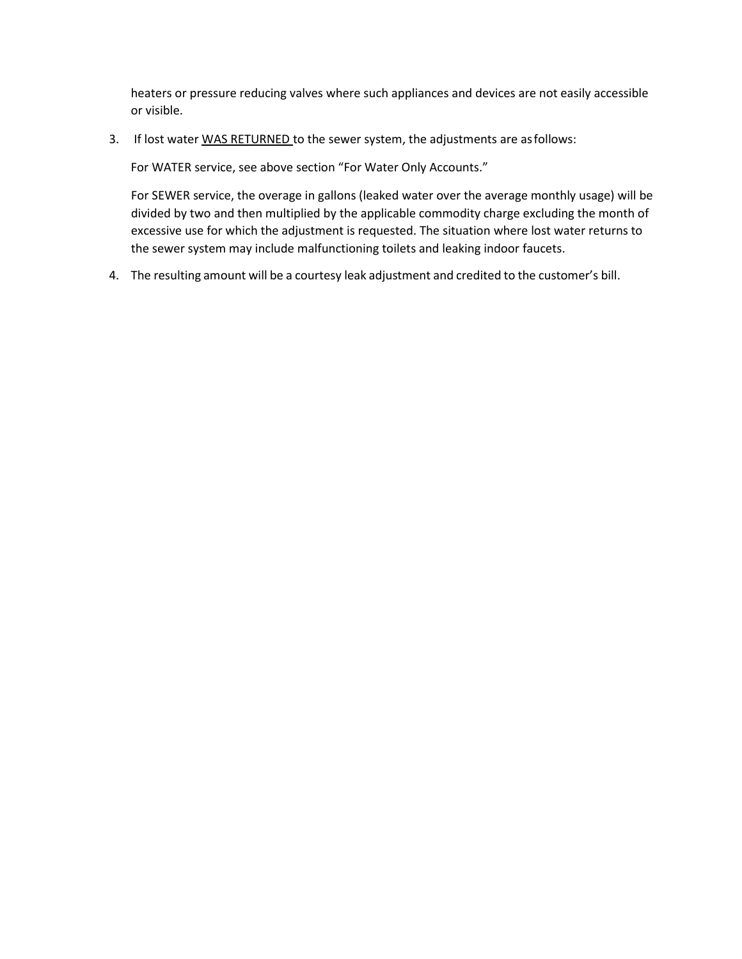heaters or pressure reducing valves where such appliances and devices are not easily accessible or visible.

3. If lost water WAS RETURNED to the sewer system, the adjustments are as follows:

For WATER service, see above section "For Water Only Accounts."

For SEWER service, the overage in gallons (leaked water over the average monthly usage) will be divided by two and then multiplied by the applicable commodity charge excluding the month of excessive use for which the adjustment is requested. The situation where lost water returns to the sewer system may include malfunctioning toilets and leaking indoor faucets.

4. The resulting amount will be a courtesy leak adjustment and credited to the customer's bill.